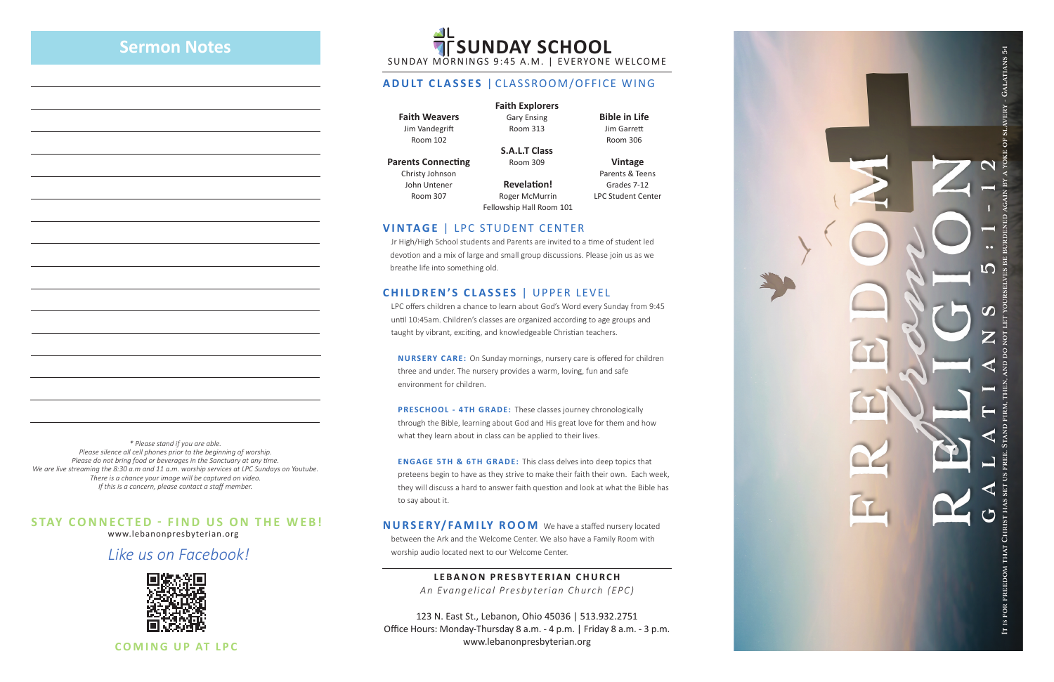www.lebanonpresbyterian.org

*Like us on Facebook!*



**COMING UP AT LPC**

### **STAY CONNECTED - FIND US ON THE WEB!**

SUNDAY MORNINGS 9:45 A.M. | EVERYONE WELCOME

#### **ADULT CLASSES** | CLASSROOM/OFFICE WING

**Faith Weavers** Room 102

Jim Vandegrift

**Parents Connecting**

Christy Johnson John Untener Room 307



#### **Faith Explorers**

Gary Ensing Room 313

**S.A.L.T Class** Room 309

**Bible in Life** Jim Garrett Room 306

**Vintage** Parents & Teens Grades 7-12 LPC Student Center

#### **VINTAGE** | LPC STUDENT CENTER

 Jr High/High School students and Parents are invited to a time of student led devotion and a mix of large and small group discussions. Please join us as we breathe life into something old.

#### **CHILDREN'S CLASSES** | UPPER LEVEL

 LPC offers children a chance to learn about God's Word every Sunday from 9:45 until 10:45am. Children's classes are organized according to age groups and taught by vibrant, exciting, and knowledgeable Christian teachers.

 **NURSERY CARE:** On Sunday mornings, nursery care is offered for children three and under. The nursery provides a warm, loving, fun and safe environment for children.

**PRESCHOOL - 4TH GRADE:** These classes journey chronologically through the Bible, learning about God and His great love for them and how what they learn about in class can be applied to their lives.

**ENGAGE 5TH & 6TH GRADE:** This class delves into deep topics that preteens begin to have as they strive to make their faith their own. Each week, they will discuss a hard to answer faith question and look at what the Bible has to say about it.

**NURSERY/FAMILY ROOM** We have a staffed nursery located between the Ark and the Welcome Center. We also have a Family Room with worship audio located next to our Welcome Center.

> **LEBANON PRESBYTERIAN CHURCH** *An Evangelical Presbyterian Church (EPC)*

123 N. East St., Lebanon, Ohio 45036 | 513.932.2751 Office Hours: Monday-Thursday 8 a.m. - 4 p.m. | Friday 8 a.m. - 3 p.m. www.lebanonpresbyterian.org

**Revelation!** Roger McMurrin Fellowship Hall Room 101

### **Sermon Notes**

# **AL<br>TESUNDAY SCHOOL**

*\* Please stand if you are able. Please silence all cell phones prior to the beginning of worship. Please do not bring food or beverages in the Sanctuary at any time. We are live streaming the 8:30 a.m and 11 a.m. worship services at LPC Sundays on Youtube. There is a chance your image will be captured on video. If this is a concern, please contact a staff member.*